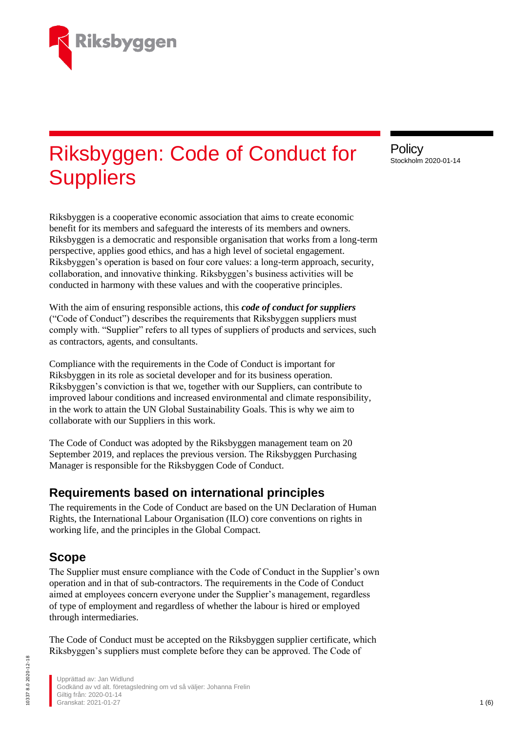

# Riksbyggen: Code of Conduct for **Suppliers**

Riksbyggen is a cooperative economic association that aims to create economic benefit for its members and safeguard the interests of its members and owners. Riksbyggen is a democratic and responsible organisation that works from a long-term perspective, applies good ethics, and has a high level of societal engagement. Riksbyggen's operation is based on four core values: a long-term approach, security, collaboration, and innovative thinking. Riksbyggen's business activities will be conducted in harmony with these values and with the cooperative principles.

With the aim of ensuring responsible actions, this *code of conduct for suppliers* ("Code of Conduct") describes the requirements that Riksbyggen suppliers must comply with. "Supplier" refers to all types of suppliers of products and services, such as contractors, agents, and consultants.

Compliance with the requirements in the Code of Conduct is important for Riksbyggen in its role as societal developer and for its business operation. Riksbyggen's conviction is that we, together with our Suppliers, can contribute to improved labour conditions and increased environmental and climate responsibility, in the work to attain the UN Global Sustainability Goals. This is why we aim to collaborate with our Suppliers in this work.

The Code of Conduct was adopted by the Riksbyggen management team on 20 September 2019, and replaces the previous version. The Riksbyggen Purchasing Manager is responsible for the Riksbyggen Code of Conduct.

## **Requirements based on international principles**

The requirements in the Code of Conduct are based on the UN Declaration of Human Rights, the International Labour Organisation (ILO) core conventions on rights in working life, and the principles in the Global Compact.

## **Scope**

The Supplier must ensure compliance with the Code of Conduct in the Supplier's own operation and in that of sub-contractors. The requirements in the Code of Conduct aimed at employees concern everyone under the Supplier's management, regardless of type of employment and regardless of whether the labour is hired or employed through intermediaries.

The Code of Conduct must be accepted on the Riksbyggen supplier certificate, which Riksbyggen's suppliers must complete before they can be approved. The Code of

**Policy** Stockholm 2020-01-14

Upprättad av: Jan Widlund Godkänd av vd alt. företagsledning om vd så väljer: Johanna Frelin Giltig från: 2020-01-14 Granskat: 2021-01-27 **1 (6) 1**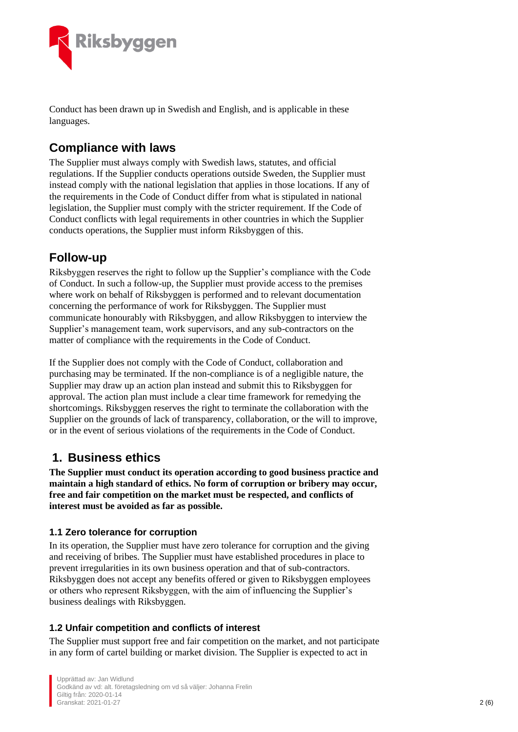

Conduct has been drawn up in Swedish and English, and is applicable in these languages.

# **Compliance with laws**

The Supplier must always comply with Swedish laws, statutes, and official regulations. If the Supplier conducts operations outside Sweden, the Supplier must instead comply with the national legislation that applies in those locations. If any of the requirements in the Code of Conduct differ from what is stipulated in national legislation, the Supplier must comply with the stricter requirement. If the Code of Conduct conflicts with legal requirements in other countries in which the Supplier conducts operations, the Supplier must inform Riksbyggen of this.

# **Follow-up**

Riksbyggen reserves the right to follow up the Supplier's compliance with the Code of Conduct. In such a follow-up, the Supplier must provide access to the premises where work on behalf of Riksbyggen is performed and to relevant documentation concerning the performance of work for Riksbyggen. The Supplier must communicate honourably with Riksbyggen, and allow Riksbyggen to interview the Supplier's management team, work supervisors, and any sub-contractors on the matter of compliance with the requirements in the Code of Conduct.

If the Supplier does not comply with the Code of Conduct, collaboration and purchasing may be terminated. If the non-compliance is of a negligible nature, the Supplier may draw up an action plan instead and submit this to Riksbyggen for approval. The action plan must include a clear time framework for remedying the shortcomings. Riksbyggen reserves the right to terminate the collaboration with the Supplier on the grounds of lack of transparency, collaboration, or the will to improve, or in the event of serious violations of the requirements in the Code of Conduct.

## **1. Business ethics**

**The Supplier must conduct its operation according to good business practice and maintain a high standard of ethics. No form of corruption or bribery may occur, free and fair competition on the market must be respected, and conflicts of interest must be avoided as far as possible.**

### **1.1 Zero tolerance for corruption**

In its operation, the Supplier must have zero tolerance for corruption and the giving and receiving of bribes. The Supplier must have established procedures in place to prevent irregularities in its own business operation and that of sub-contractors. Riksbyggen does not accept any benefits offered or given to Riksbyggen employees or others who represent Riksbyggen, with the aim of influencing the Supplier's business dealings with Riksbyggen.

#### **1.2 Unfair competition and conflicts of interest**

The Supplier must support free and fair competition on the market, and not participate in any form of cartel building or market division. The Supplier is expected to act in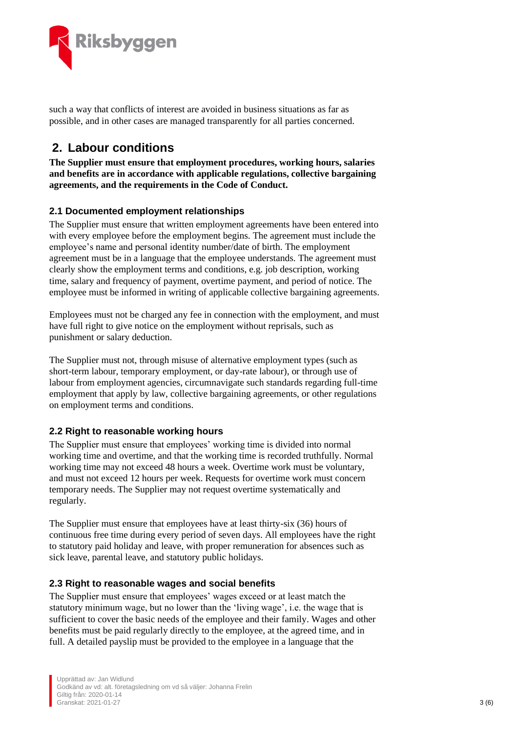

such a way that conflicts of interest are avoided in business situations as far as possible, and in other cases are managed transparently for all parties concerned.

## **2. Labour conditions**

**The Supplier must ensure that employment procedures, working hours, salaries and benefits are in accordance with applicable regulations, collective bargaining agreements, and the requirements in the Code of Conduct.**

#### **2.1 Documented employment relationships**

The Supplier must ensure that written employment agreements have been entered into with every employee before the employment begins. The agreement must include the employee's name and personal identity number/date of birth. The employment agreement must be in a language that the employee understands. The agreement must clearly show the employment terms and conditions, e.g. job description, working time, salary and frequency of payment, overtime payment, and period of notice. The employee must be informed in writing of applicable collective bargaining agreements.

Employees must not be charged any fee in connection with the employment, and must have full right to give notice on the employment without reprisals, such as punishment or salary deduction.

The Supplier must not, through misuse of alternative employment types (such as short-term labour, temporary employment, or day-rate labour), or through use of labour from employment agencies, circumnavigate such standards regarding full-time employment that apply by law, collective bargaining agreements, or other regulations on employment terms and conditions.

#### **2.2 Right to reasonable working hours**

The Supplier must ensure that employees' working time is divided into normal working time and overtime, and that the working time is recorded truthfully. Normal working time may not exceed 48 hours a week. Overtime work must be voluntary, and must not exceed 12 hours per week. Requests for overtime work must concern temporary needs. The Supplier may not request overtime systematically and regularly.

The Supplier must ensure that employees have at least thirty-six (36) hours of continuous free time during every period of seven days. All employees have the right to statutory paid holiday and leave, with proper remuneration for absences such as sick leave, parental leave, and statutory public holidays.

#### **2.3 Right to reasonable wages and social benefits**

The Supplier must ensure that employees' wages exceed or at least match the statutory minimum wage, but no lower than the 'living wage', i.e. the wage that is sufficient to cover the basic needs of the employee and their family. Wages and other benefits must be paid regularly directly to the employee, at the agreed time, and in full. A detailed payslip must be provided to the employee in a language that the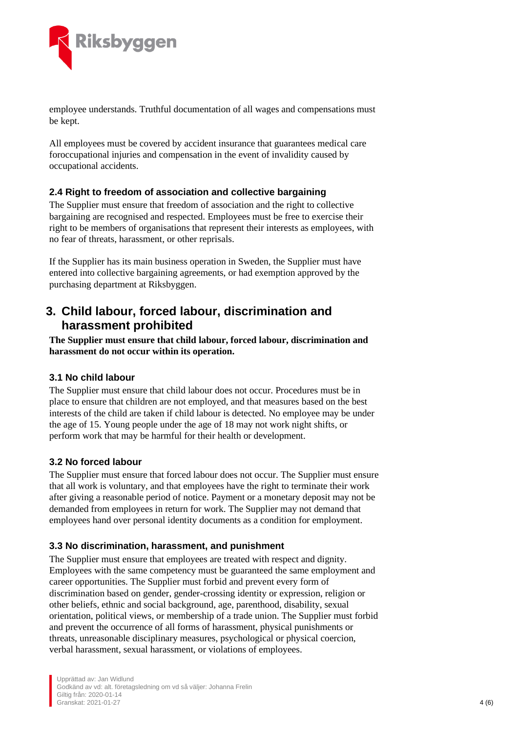

employee understands. Truthful documentation of all wages and compensations must be kept.

All employees must be covered by accident insurance that guarantees medical care foroccupational injuries and compensation in the event of invalidity caused by occupational accidents.

#### **2.4 Right to freedom of association and collective bargaining**

The Supplier must ensure that freedom of association and the right to collective bargaining are recognised and respected. Employees must be free to exercise their right to be members of organisations that represent their interests as employees, with no fear of threats, harassment, or other reprisals.

If the Supplier has its main business operation in Sweden, the Supplier must have entered into collective bargaining agreements, or had exemption approved by the purchasing department at Riksbyggen.

## **3. Child labour, forced labour, discrimination and harassment prohibited**

**The Supplier must ensure that child labour, forced labour, discrimination and harassment do not occur within its operation.**

#### **3.1 No child labour**

The Supplier must ensure that child labour does not occur. Procedures must be in place to ensure that children are not employed, and that measures based on the best interests of the child are taken if child labour is detected. No employee may be under the age of 15. Young people under the age of 18 may not work night shifts, or perform work that may be harmful for their health or development.

#### **3.2 No forced labour**

The Supplier must ensure that forced labour does not occur. The Supplier must ensure that all work is voluntary, and that employees have the right to terminate their work after giving a reasonable period of notice. Payment or a monetary deposit may not be demanded from employees in return for work. The Supplier may not demand that employees hand over personal identity documents as a condition for employment.

#### **3.3 No discrimination, harassment, and punishment**

The Supplier must ensure that employees are treated with respect and dignity. Employees with the same competency must be guaranteed the same employment and career opportunities. The Supplier must forbid and prevent every form of discrimination based on gender, gender-crossing identity or expression, religion or other beliefs, ethnic and social background, age, parenthood, disability, sexual orientation, political views, or membership of a trade union. The Supplier must forbid and prevent the occurrence of all forms of harassment, physical punishments or threats, unreasonable disciplinary measures, psychological or physical coercion, verbal harassment, sexual harassment, or violations of employees.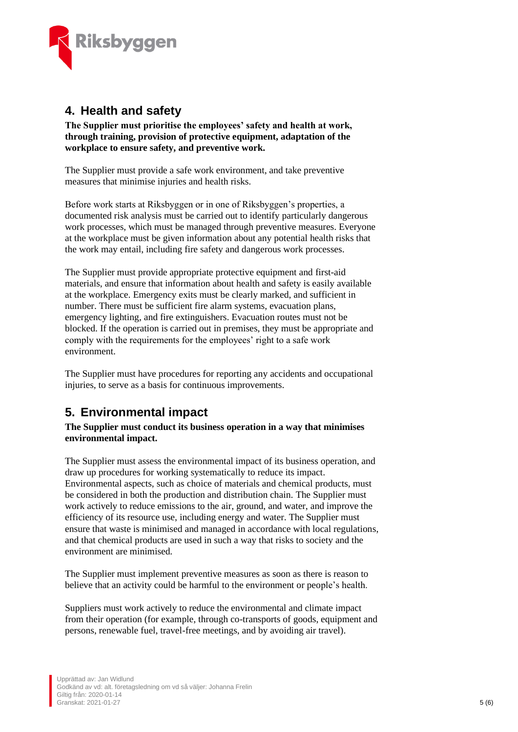

## **4. Health and safety**

**The Supplier must prioritise the employees' safety and health at work, through training, provision of protective equipment, adaptation of the workplace to ensure safety, and preventive work.**

The Supplier must provide a safe work environment, and take preventive measures that minimise injuries and health risks.

Before work starts at Riksbyggen or in one of Riksbyggen's properties, a documented risk analysis must be carried out to identify particularly dangerous work processes, which must be managed through preventive measures. Everyone at the workplace must be given information about any potential health risks that the work may entail, including fire safety and dangerous work processes.

The Supplier must provide appropriate protective equipment and first-aid materials, and ensure that information about health and safety is easily available at the workplace. Emergency exits must be clearly marked, and sufficient in number. There must be sufficient fire alarm systems, evacuation plans, emergency lighting, and fire extinguishers. Evacuation routes must not be blocked. If the operation is carried out in premises, they must be appropriate and comply with the requirements for the employees' right to a safe work environment.

The Supplier must have procedures for reporting any accidents and occupational injuries, to serve as a basis for continuous improvements.

## **5. Environmental impact**

**The Supplier must conduct its business operation in a way that minimises environmental impact.**

The Supplier must assess the environmental impact of its business operation, and draw up procedures for working systematically to reduce its impact. Environmental aspects, such as choice of materials and chemical products, must be considered in both the production and distribution chain. The Supplier must work actively to reduce emissions to the air, ground, and water, and improve the efficiency of its resource use, including energy and water. The Supplier must ensure that waste is minimised and managed in accordance with local regulations, and that chemical products are used in such a way that risks to society and the environment are minimised.

The Supplier must implement preventive measures as soon as there is reason to believe that an activity could be harmful to the environment or people's health.

Suppliers must work actively to reduce the environmental and climate impact from their operation (for example, through co-transports of goods, equipment and persons, renewable fuel, travel-free meetings, and by avoiding air travel).